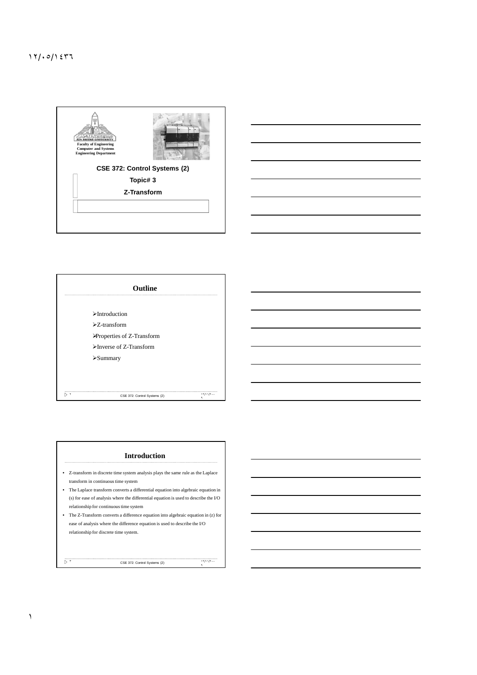一点 **Faculty of Engineering Computer and Systems Engineering Department CSE 372: Control Systems (2) Topic# 3 Z-Transform** 



|              | Outline                                      |         |
|--------------|----------------------------------------------|---------|
|              | $\triangleright$ Introduction                |         |
|              | $\Sigma$ -transform                          |         |
|              | Properties of Z-Transform                    |         |
|              | $\blacktriangleright$ Inverse of Z-Transform |         |
|              | $\triangleright$ Summary                     |         |
|              |                                              |         |
|              |                                              |         |
| $\mathbf{v}$ | CSE 372: Control Systems (2)                 | 17/11/7 |



١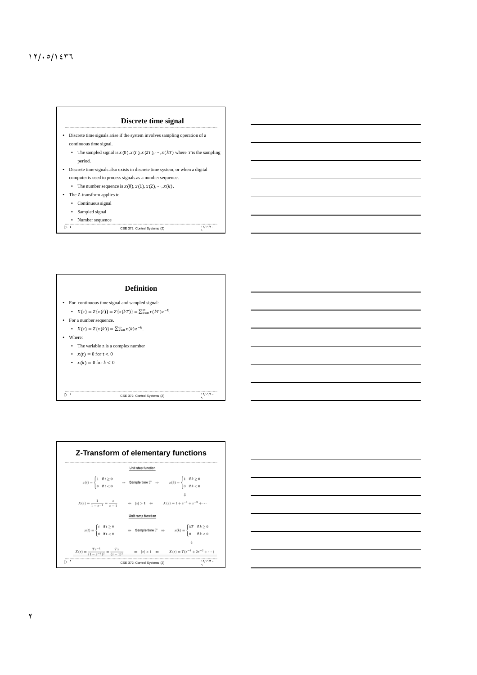## ١٢/٠٥/١٤٣٦







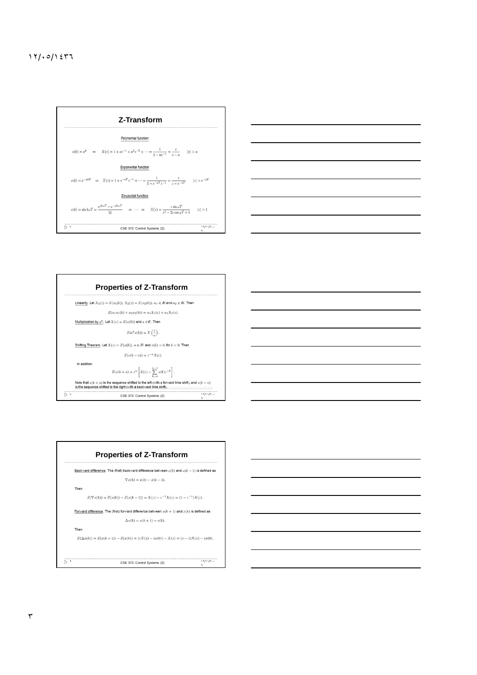







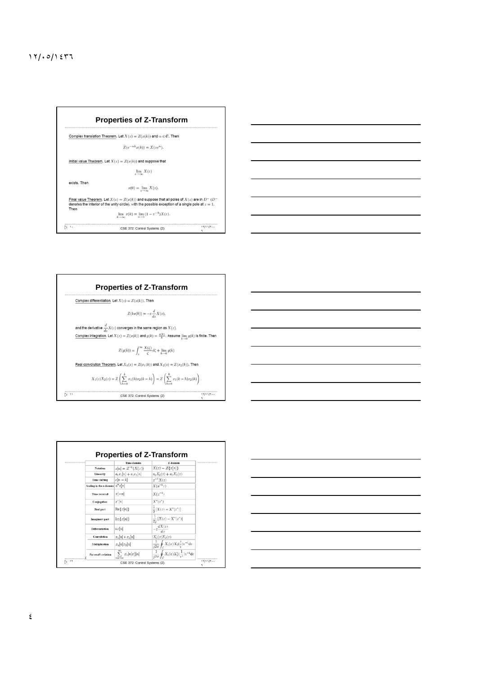## ١٢/٠٥/١٤٣٦

|              | <b>Properties of Z-Transform</b>                                                                                                                                                                                                                                                |              |  |  |  |
|--------------|---------------------------------------------------------------------------------------------------------------------------------------------------------------------------------------------------------------------------------------------------------------------------------|--------------|--|--|--|
|              | Complex translation Theorem. Let $X(z) = Z(x(k))$ and $\alpha \in \mathcal{C}$ . Then                                                                                                                                                                                           |              |  |  |  |
|              | $Z(e^{-\alpha k}x(k)) = X(ze^{\alpha}).$                                                                                                                                                                                                                                        |              |  |  |  |
|              | Initial value Theorem. Let $X(z) = Z(x(k))$ and suppose that                                                                                                                                                                                                                    |              |  |  |  |
|              | $\lim_{z\to\infty} X(z)$                                                                                                                                                                                                                                                        |              |  |  |  |
| exists. Then | $x(0) = \lim_{z \to \infty} X(z).$                                                                                                                                                                                                                                              |              |  |  |  |
| Then         | Final value Theorem. Let $X(z) = Z(x(k))$ and suppose that all poles of $X(z)$ are in $D^{-1}(D^{-1})$<br>denotes the interior of the unity circle), with the possible exception of a single pole at $z = 1$ .<br>$\lim_{k \to \infty} x(k) = \lim_{z \to 1} (1 - z^{-1})X(z).$ |              |  |  |  |
| ⊳ 1.         | CSE 372: Control Systems (2)                                                                                                                                                                                                                                                    | 11/11/7<br>٩ |  |  |  |



|                                    | Time domain                               | Z-domain                                                                    |
|------------------------------------|-------------------------------------------|-----------------------------------------------------------------------------|
| Notation                           | $x[n] = \mathcal{Z}^{-1}{X(z)}$           | $X(z) = Z\{x[n]\}$                                                          |
| Linearity                          | $a_1x_1[n]+a_2x_2[n]$                     | $a_1X_1(z) + a_2X_2(z)$                                                     |
| Time shifting                      | $x[n-k]$                                  | $z^{-k}X(z)$                                                                |
| Scaling in the z-domain $a^n x[n]$ |                                           | $X(a^{-1}z)$                                                                |
| Time reversal                      | $x[-n]$                                   | $X(z^{-1})$                                                                 |
| Conjugation                        | $x^*[n]$                                  | $X^*(z^*)$                                                                  |
| Real part                          | $\text{Re}\{x[n]\}$                       | $\frac{1}{2}[X(z) + X^*(z^*)]$                                              |
| Imaginary part                     | $Im\{x[n]\}$                              | $\frac{1}{2i}[X(z)-X^*(z^*)]$                                               |
| Differentiation                    | nx[n]                                     | $-z\frac{dX(z)}{dz}$                                                        |
| Convolution                        | $x_1[n] * x_2[n]$                         | $X_1(z)X_2(z)$                                                              |
| Multiplication                     | $x_1[n]x_2[n]$                            | $\frac{1}{12\pi} \oint_C X_1(v) X_2(\frac{z}{v}) v^{-1} dv$                 |
| Parseval's relation                | $\sum x_1[n]x_2^*[n]$<br><b>KIND OF A</b> | $\frac{1}{12\pi}\oint_{\alpha} X_1(v)X_2^*(\frac{1}{v^*})v^{-1}\mathrm{d}v$ |

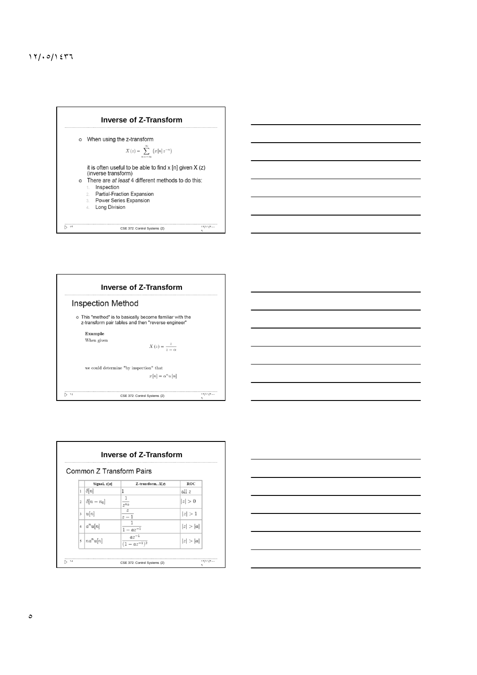## ١٢/٠٥/١٤٣٦





| Common Z Transform Pairs |                            |                                 |            |  |
|--------------------------|----------------------------|---------------------------------|------------|--|
|                          | Signal, $x[n]$             | Z-transform, $X(z)$             | <b>ROC</b> |  |
| $\mathbf{1}$             | $\delta[n]$                | 1                               | all z      |  |
| $\overline{2}$           | $\left \delta\right n-n_0$ | 1<br>$2^{n_0}$                  | z >0       |  |
| 3                        | u[n]                       | $\overline{z}$<br>$z-1$         | z >1       |  |
| $\overline{4}$           | $a^n u[n]$                 | $1 - az^{-1}$                   | z  >  a    |  |
| $\overline{\phantom{0}}$ | $ na^n u[n]$               | $\frac{az^{-1}}{(1-az^{-1})^2}$ | z  >  a    |  |

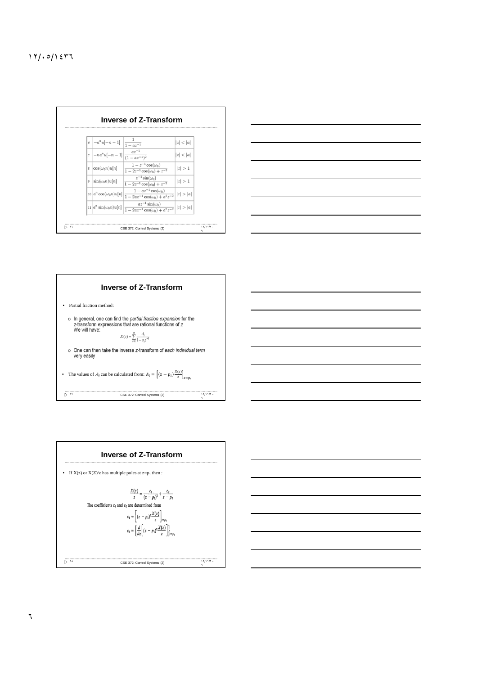|                | $\Big  \cdot \Big  - a^n u[-n-1] \Big  \frac{1}{1 - az^{-1}}$ |                                                                                                                                                       | z  <  a |
|----------------|---------------------------------------------------------------|-------------------------------------------------------------------------------------------------------------------------------------------------------|---------|
| $\overline{z}$ | $\left[-na^n u[-n-1]\right] \frac{az^{-1}}{(1-az^{-1})^2}$    |                                                                                                                                                       | z  <  a |
| $\mathbf{s}$   | $\cos(\omega_0 n)u[n]$                                        | $1-z^{-1}\cos(\omega_0)$<br>$\sqrt{1-2z^{-1}\cos(\omega_0)+z^{-2}}$                                                                                   | z >1    |
| $\circ$        | $sin(\omega_0 n)u[n]$                                         | $z^{-1}\sin(\omega_0)$<br>$1 - 2z^{-1} \cos(\omega_0) + z^{-2}$                                                                                       | z >1    |
|                | $10 a^n\cos(\omega_0 n)u[n] $                                 | $1 - az^{-1} \cos(\omega_0)$<br>$\frac{1}{1-2az^{-1}\cos(\omega_0)+a^2z^{-2}}   z > a $                                                               |         |
|                |                                                               | $az^{-1}\sin(\omega_0)$<br>$\ln  a^n \sin(\omega_0 n)u[n] \left  \frac{az \sin(\omega_0)}{1 - 2az^{-1} \cos(\omega_0) + a^2z^{-2}} \right   z  >  a $ |         |





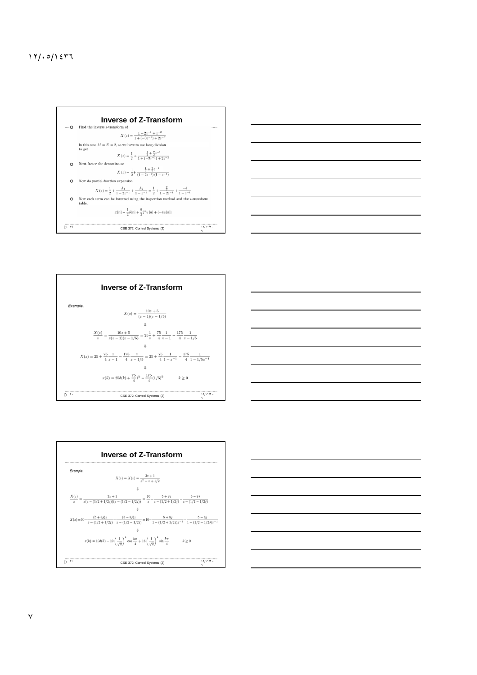









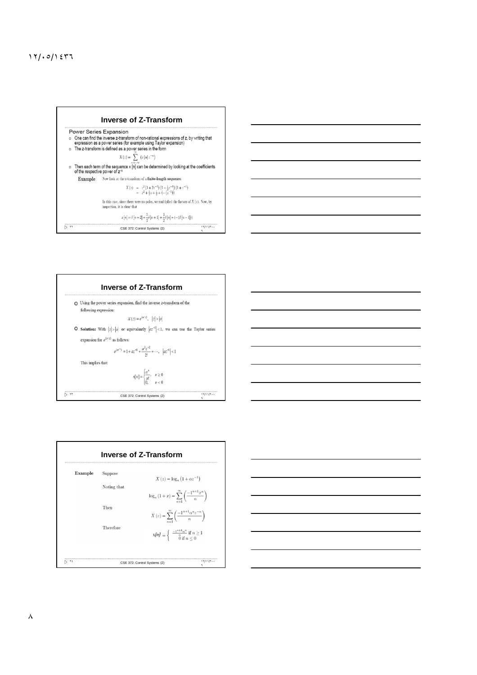









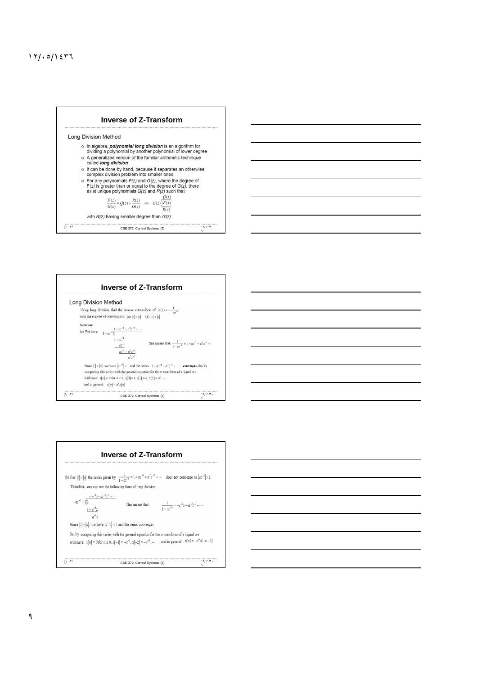